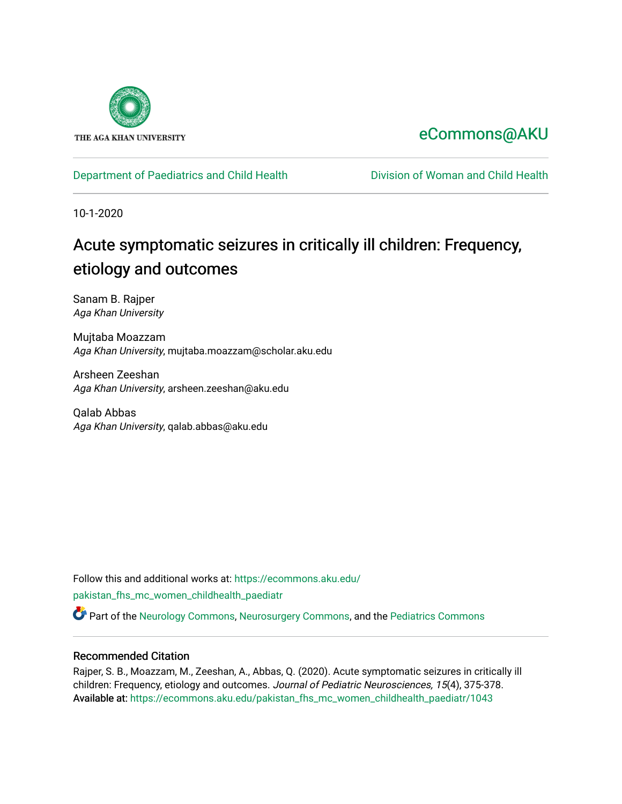

# [eCommons@AKU](https://ecommons.aku.edu/)

## [Department of Paediatrics and Child Health](https://ecommons.aku.edu/pakistan_fhs_mc_women_childhealth_paediatr) **Division of Woman and Child Health**

10-1-2020

# Acute symptomatic seizures in critically ill children: Frequency, etiology and outcomes

Sanam B. Rajper Aga Khan University

Mujtaba Moazzam Aga Khan University, mujtaba.moazzam@scholar.aku.edu

Arsheen Zeeshan Aga Khan University, arsheen.zeeshan@aku.edu

Qalab Abbas Aga Khan University, qalab.abbas@aku.edu

Follow this and additional works at: [https://ecommons.aku.edu/](https://ecommons.aku.edu/pakistan_fhs_mc_women_childhealth_paediatr?utm_source=ecommons.aku.edu%2Fpakistan_fhs_mc_women_childhealth_paediatr%2F1043&utm_medium=PDF&utm_campaign=PDFCoverPages) [pakistan\\_fhs\\_mc\\_women\\_childhealth\\_paediatr](https://ecommons.aku.edu/pakistan_fhs_mc_women_childhealth_paediatr?utm_source=ecommons.aku.edu%2Fpakistan_fhs_mc_women_childhealth_paediatr%2F1043&utm_medium=PDF&utm_campaign=PDFCoverPages) 

Part of the [Neurology Commons](http://network.bepress.com/hgg/discipline/692?utm_source=ecommons.aku.edu%2Fpakistan_fhs_mc_women_childhealth_paediatr%2F1043&utm_medium=PDF&utm_campaign=PDFCoverPages), [Neurosurgery Commons](http://network.bepress.com/hgg/discipline/1428?utm_source=ecommons.aku.edu%2Fpakistan_fhs_mc_women_childhealth_paediatr%2F1043&utm_medium=PDF&utm_campaign=PDFCoverPages), and the [Pediatrics Commons](http://network.bepress.com/hgg/discipline/700?utm_source=ecommons.aku.edu%2Fpakistan_fhs_mc_women_childhealth_paediatr%2F1043&utm_medium=PDF&utm_campaign=PDFCoverPages)

### Recommended Citation

Rajper, S. B., Moazzam, M., Zeeshan, A., Abbas, Q. (2020). Acute symptomatic seizures in critically ill children: Frequency, etiology and outcomes. Journal of Pediatric Neurosciences, 15(4), 375-378. Available at: [https://ecommons.aku.edu/pakistan\\_fhs\\_mc\\_women\\_childhealth\\_paediatr/1043](https://ecommons.aku.edu/pakistan_fhs_mc_women_childhealth_paediatr/1043)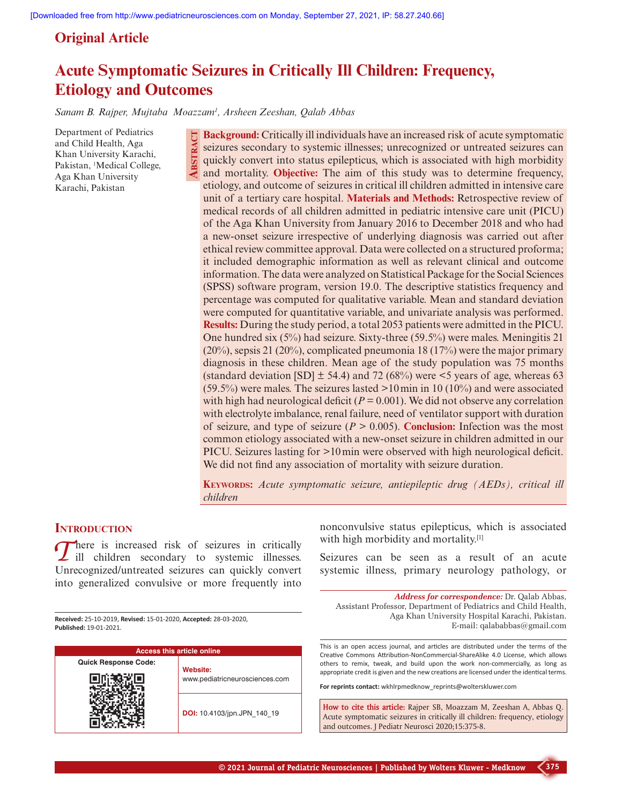## **Original Article**

## **Acute Symptomatic Seizures in Critically Ill Children: Frequency, Etiology and Outcomes**

*Sanam B. Rajper, Mujtaba Moazzam1 , Arsheen Zeeshan, Qalab Abbas*

**Abstr**

**act**

Department of Pediatrics and Child Health, Aga Khan University Karachi, Pakistan, <sup>1</sup>Medical College, Aga Khan University Karachi, Pakistan

**Background:** Critically ill individuals have an increased risk of acute symptomatic seizures secondary to systemic illnesses; unrecognized or untreated seizures can quickly convert into status epilepticus, which is associated with high morbidity and mortality. **Objective:** The aim of this study was to determine frequency, etiology, and outcome of seizures in critical ill children admitted in intensive care unit of a tertiary care hospital. **Materials and Methods:** Retrospective review of medical records of all children admitted in pediatric intensive care unit (PICU) of the Aga Khan University from January 2016 to December 2018 and who had a new-onset seizure irrespective of underlying diagnosis was carried out after ethical review committee approval. Data were collected on a structured proforma; it included demographic information as well as relevant clinical and outcome information. The data were analyzed on Statistical Package for the Social Sciences (SPSS) software program, version 19.0. The descriptive statistics frequency and percentage was computed for qualitative variable. Mean and standard deviation were computed for quantitative variable, and univariate analysis was performed. **Results:** During the study period, a total 2053 patients were admitted in the PICU. One hundred six (5%) had seizure. Sixty-three (59.5%) were males. Meningitis 21 (20%), sepsis 21 (20%), complicated pneumonia 18 (17%) were the major primary diagnosis in these children. Mean age of the study population was 75 months (standard deviation  $\text{[SD]} \pm 54.4$ ) and 72 (68%) were <5 years of age, whereas 63  $(59.5\%)$  were males. The seizures lasted >10 min in 10 (10%) and were associated with high had neurological deficit ( $P = 0.001$ ). We did not observe any correlation with electrolyte imbalance, renal failure, need of ventilator support with duration of seizure, and type of seizure  $(P > 0.005)$ . **Conclusion:** Infection was the most common etiology associated with a new-onset seizure in children admitted in our PICU. Seizures lasting for >10min were observed with high neurological deficit. We did not find any association of mortality with seizure duration.

**Keywords:** *Acute symptomatic seizure, antiepileptic drug (AEDs), critical ill children*

#### **INTRODUCTION**

*T* here is increased risk of seizures in critically ill children secondary to systemic illnesses. Unrecognized/untreated seizures can quickly convert into generalized convulsive or more frequently into

**Received:** 25-10-2019, **Revised:** 15-01-2020, **Accepted:** 28-03-2020, **Published:** 19-01-2021.

| <b>Access this article online</b> |                                            |  |
|-----------------------------------|--------------------------------------------|--|
| <b>Quick Response Code:</b>       |                                            |  |
|                                   | Website:<br>www.pediatricneurosciences.com |  |
|                                   | DOI: 10.4103/jpn.JPN 140 19                |  |

nonconvulsive status epilepticus, which is associated with high morbidity and mortality.[1]

Seizures can be seen as a result of an acute systemic illness, primary neurology pathology, or

*Address for correspondence:* Dr. Qalab Abbas, Assistant Professor, Department of Pediatrics and Child Health, Aga Khan University Hospital Karachi, Pakistan. E-mail: qalababbas@gmail.com

This is an open access journal, and articles are distributed under the terms of the Creative Commons Attribution-NonCommercial-ShareAlike 4.0 License, which allows others to remix, tweak, and build upon the work non-commercially, as long as appropriate credit is given and the new creations are licensed under the identical terms.

**For reprints contact:** wkhlrpmedknow\_reprints@wolterskluwer.com

**How to cite this article:** Rajper SB, Moazzam M, Zeeshan A, Abbas Q. Acute symptomatic seizures in critically ill children: frequency, etiology and outcomes. J Pediatr Neurosci 2020;15:375-8.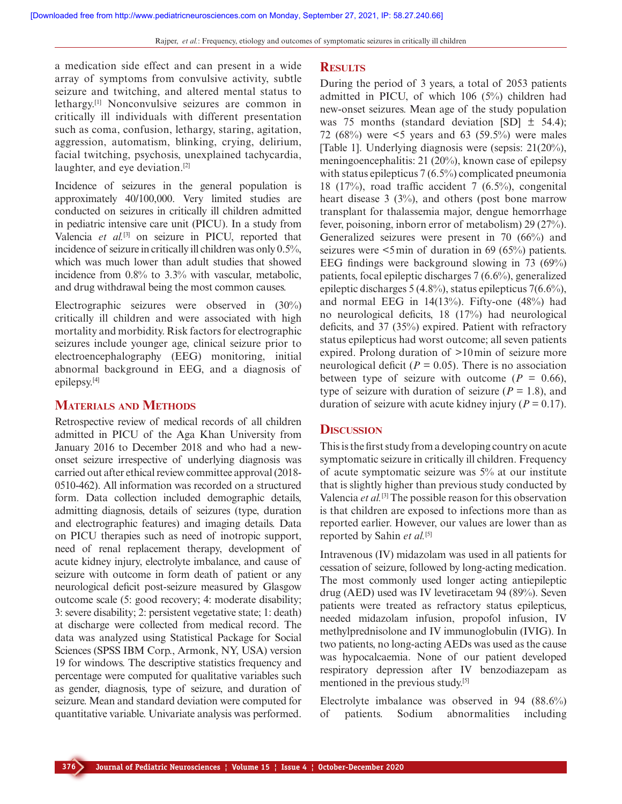a medication side effect and can present in a wide array of symptoms from convulsive activity, subtle seizure and twitching, and altered mental status to lethargy.[1] Nonconvulsive seizures are common in critically ill individuals with different presentation such as coma, confusion, lethargy, staring, agitation, aggression, automatism, blinking, crying, delirium, facial twitching, psychosis, unexplained tachycardia, laughter, and eye deviation.<sup>[2]</sup>

Incidence of seizures in the general population is approximately 40/100,000. Very limited studies are conducted on seizures in critically ill children admitted in pediatric intensive care unit (PICU). In a study from Valencia et al.<sup>[3]</sup> on seizure in PICU, reported that incidence of seizure in critically ill children was only 0.5%, which was much lower than adult studies that showed incidence from 0.8% to 3.3% with vascular, metabolic, and drug withdrawal being the most common causes.

Electrographic seizures were observed in (30%) critically ill children and were associated with high mortality and morbidity. Risk factors for electrographic seizures include younger age, clinical seizure prior to electroencephalography (EEG) monitoring, initial abnormal background in EEG, and a diagnosis of epilepsy.[4]

#### **Materials and Methods**

Retrospective review of medical records of all children admitted in PICU of the Aga Khan University from January 2016 to December 2018 and who had a newonset seizure irrespective of underlying diagnosis was carried out after ethical review committee approval (2018- 0510-462). All information was recorded on a structured form. Data collection included demographic details, admitting diagnosis, details of seizures (type, duration and electrographic features) and imaging details. Data on PICU therapies such as need of inotropic support, need of renal replacement therapy, development of acute kidney injury, electrolyte imbalance, and cause of seizure with outcome in form death of patient or any neurological deficit post-seizure measured by Glasgow outcome scale (5: good recovery; 4: moderate disability; 3: severe disability; 2: persistent vegetative state; 1: death) at discharge were collected from medical record. The data was analyzed using Statistical Package for Social Sciences (SPSS IBM Corp., Armonk, NY, USA) version 19 for windows. The descriptive statistics frequency and percentage were computed for qualitative variables such as gender, diagnosis, type of seizure, and duration of seizure. Mean and standard deviation were computed for quantitative variable. Univariate analysis was performed.

#### **Results**

During the period of 3 years, a total of 2053 patients admitted in PICU, of which 106 (5%) children had new-onset seizures. Mean age of the study population was 75 months (standard deviation [SD]  $\pm$  54.4); 72 (68%) were <5 years and 63 (59.5%) were males [Table 1]. Underlying diagnosis were (sepsis: 21(20%), meningoencephalitis: 21 (20%), known case of epilepsy with status epilepticus 7 (6.5%) complicated pneumonia 18 (17%), road traffic accident 7 (6.5%), congenital heart disease 3 (3%), and others (post bone marrow transplant for thalassemia major, dengue hemorrhage fever, poisoning, inborn error of metabolism) 29 (27%). Generalized seizures were present in 70 (66%) and seizures were <5min of duration in 69 (65%) patients. EEG findings were background slowing in 73 (69%) patients, focal epileptic discharges 7 (6.6%), generalized epileptic discharges 5 (4.8%), status epilepticus 7(6.6%), and normal EEG in 14(13%). Fifty-one (48%) had no neurological deficits, 18 (17%) had neurological deficits, and 37 (35%) expired. Patient with refractory status epilepticus had worst outcome; all seven patients expired. Prolong duration of >10min of seizure more neurological deficit ( $P = 0.05$ ). There is no association between type of seizure with outcome  $(P = 0.66)$ , type of seizure with duration of seizure  $(P = 1.8)$ , and duration of seizure with acute kidney injury ( $P = 0.17$ ).

#### **Discussion**

This is the first study from a developing country on acute symptomatic seizure in critically ill children. Frequency of acute symptomatic seizure was 5% at our institute that is slightly higher than previous study conducted by Valencia *et al.*<sup>[3]</sup> The possible reason for this observation is that children are exposed to infections more than as reported earlier. However, our values are lower than as reported by Sahin *et al.*[5]

Intravenous (IV) midazolam was used in all patients for cessation of seizure, followed by long-acting medication. The most commonly used longer acting antiepileptic drug (AED) used was IV levetiracetam 94 (89%). Seven patients were treated as refractory status epilepticus, needed midazolam infusion, propofol infusion, IV methylprednisolone and IV immunoglobulin (IVIG). In two patients, no long-acting AEDs was used as the cause was hypocalcaemia. None of our patient developed respiratory depression after IV benzodiazepam as mentioned in the previous study.[5]

Electrolyte imbalance was observed in 94 (88.6%) of patients. Sodium abnormalities including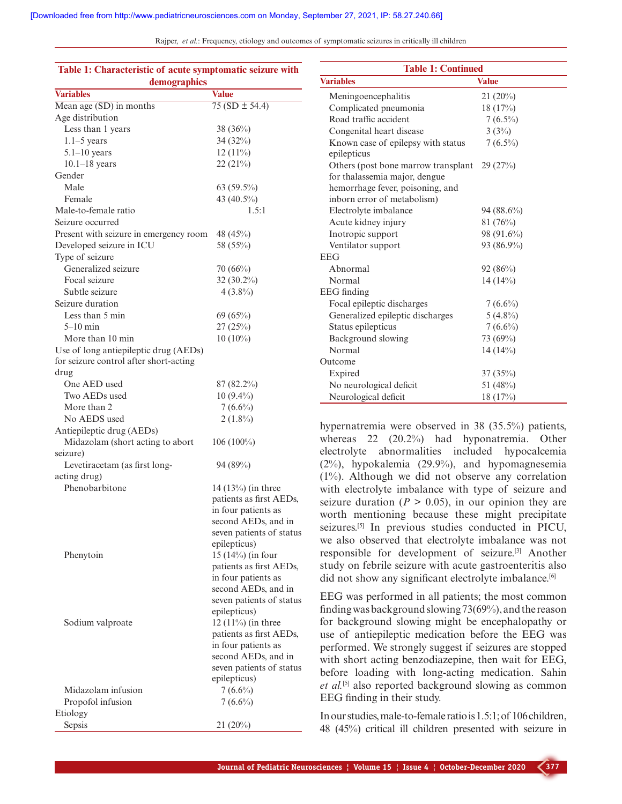Rajper, *et al.*: Frequency, etiology and outcomes of symptomatic seizures in critically ill children

| Table 1: Characteristic of acute symptomatic seizure with<br>demographics |                          |  |
|---------------------------------------------------------------------------|--------------------------|--|
| <b>Variables</b>                                                          | Value                    |  |
| Mean age (SD) in months                                                   | $75(SD \pm 54.4)$        |  |
| Age distribution                                                          |                          |  |
| Less than 1 years                                                         | $38(36\%)$               |  |
| $1.1 - 5$ years                                                           |                          |  |
|                                                                           | 34(32%)                  |  |
| $5.1 - 10$ years                                                          | $12(11\%)$               |  |
| $10.1 - 18$ years                                                         | 22 (21%)                 |  |
| Gender                                                                    |                          |  |
| Male                                                                      | $63(59.5\%)$             |  |
| Female                                                                    | 43 (40.5%)               |  |
| Male-to-female ratio                                                      | 1.5:1                    |  |
| Seizure occurred                                                          |                          |  |
| Present with seizure in emergency room                                    | 48 (45%)                 |  |
| Developed seizure in ICU                                                  | 58 (55%)                 |  |
| Type of seizure                                                           |                          |  |
| Generalized seizure                                                       | 70(66%)                  |  |
| Focal seizure                                                             | $32(30.2\%)$             |  |
| Subtle seizure                                                            | $4(3.8\%)$               |  |
| Seizure duration                                                          |                          |  |
| Less than 5 min                                                           | 69(65%)                  |  |
| $5-10$ min                                                                | 27(25%)                  |  |
| More than 10 min                                                          | $10(10\%)$               |  |
| Use of long antiepileptic drug (AEDs)                                     |                          |  |
| for seizure control after short-acting                                    |                          |  |
| drug                                                                      |                          |  |
| One AED used                                                              | 87 (82.2%)               |  |
| Two AEDs used                                                             | $10(9.4\%)$              |  |
| More than 2                                                               |                          |  |
|                                                                           | $7(6.6\%)$               |  |
| No AEDS used                                                              | $2(1.8\%)$               |  |
| Antiepileptic drug (AEDs)                                                 |                          |  |
| Midazolam (short acting to abort                                          | $106(100\%)$             |  |
| seizure)                                                                  |                          |  |
| Levetiracetam (as first long-                                             | 94 (89%)                 |  |
| acting drug)                                                              |                          |  |
| Phenobarbitone                                                            | 14 (13%) (in three       |  |
|                                                                           | patients as first AEDs,  |  |
|                                                                           | in four patients as      |  |
|                                                                           | second AEDs, and in      |  |
|                                                                           | seven patients of status |  |
|                                                                           | epilepticus)             |  |
| Phenytoin                                                                 | $15(14\%)$ (in four      |  |
|                                                                           | patients as first AEDs,  |  |
|                                                                           | in four patients as      |  |
|                                                                           | second AEDs, and in      |  |
|                                                                           | seven patients of status |  |
|                                                                           | epilepticus)             |  |
| Sodium valproate                                                          | $12(11\%)$ (in three     |  |
|                                                                           | patients as first AEDs,  |  |
|                                                                           | in four patients as      |  |
|                                                                           | second AEDs, and in      |  |
|                                                                           | seven patients of status |  |
|                                                                           | epilepticus)             |  |
| Midazolam infusion                                                        | $7(6.6\%)$               |  |
| Propofol infusion                                                         | $7(6.6\%)$               |  |
| Etiology                                                                  |                          |  |
| Sepsis                                                                    | 21 (20%)                 |  |
|                                                                           |                          |  |

| <b>Table 1: Continued</b>                         |            |  |
|---------------------------------------------------|------------|--|
| <b>Variables</b>                                  | Value      |  |
| Meningoencephalitis                               | $21(20\%)$ |  |
| Complicated pneumonia                             | 18(17%)    |  |
| Road traffic accident                             | $7(6.5\%)$ |  |
| Congenital heart disease                          | 3(3%)      |  |
| Known case of epilepsy with status<br>epilepticus | $7(6.5\%)$ |  |
| Others (post bone marrow transplant               | 29(27%)    |  |
| for thalassemia major, dengue                     |            |  |
| hemorrhage fever, poisoning, and                  |            |  |
| inborn error of metabolism)                       |            |  |
| Electrolyte imbalance                             | 94 (88.6%) |  |
| Acute kidney injury                               | 81(76%)    |  |
| Inotropic support                                 | 98 (91.6%) |  |
| Ventilator support                                | 93 (86.9%) |  |
| <b>EEG</b>                                        |            |  |
| Abnormal                                          | 92 (86%)   |  |
| Normal                                            | $14(14\%)$ |  |
| EEG finding                                       |            |  |
| Focal epileptic discharges                        | $7(6.6\%)$ |  |
| Generalized epileptic discharges                  | $5(4.8\%)$ |  |
| Status epilepticus                                | $7(6.6\%)$ |  |
| Background slowing                                | 73 (69%)   |  |
| Normal                                            | $14(14\%)$ |  |
| Outcome                                           |            |  |
| Expired                                           | 37(35%)    |  |
| No neurological deficit                           | 51 (48%)   |  |
| Neurological deficit                              | 18 (17%)   |  |

hypernatremia were observed in 38 (35.5%) patients, whereas 22 (20.2%) had hyponatremia. Other electrolyte abnormalities included hypocalcemia (2%), hypokalemia (29.9%), and hypomagnesemia (1%). Although we did not observe any correlation with electrolyte imbalance with type of seizure and seizure duration ( $P > 0.05$ ), in our opinion they are worth mentioning because these might precipitate seizures.<sup>[5]</sup> In previous studies conducted in PICU, we also observed that electrolyte imbalance was not responsible for development of seizure.[3] Another study on febrile seizure with acute gastroenteritis also did not show any significant electrolyte imbalance.<sup>[6]</sup>

EEG was performed in all patients; the most common finding was background slowing 73(69%), and the reason for background slowing might be encephalopathy or use of antiepileptic medication before the EEG was performed. We strongly suggest if seizures are stopped with short acting benzodiazepine, then wait for EEG, before loading with long-acting medication. Sahin et al.<sup>[5]</sup> also reported background slowing as common EEG finding in their study.

In our studies, male-to-female ratio is 1.5:1; of 106 children, 48 (45%) critical ill children presented with seizure in